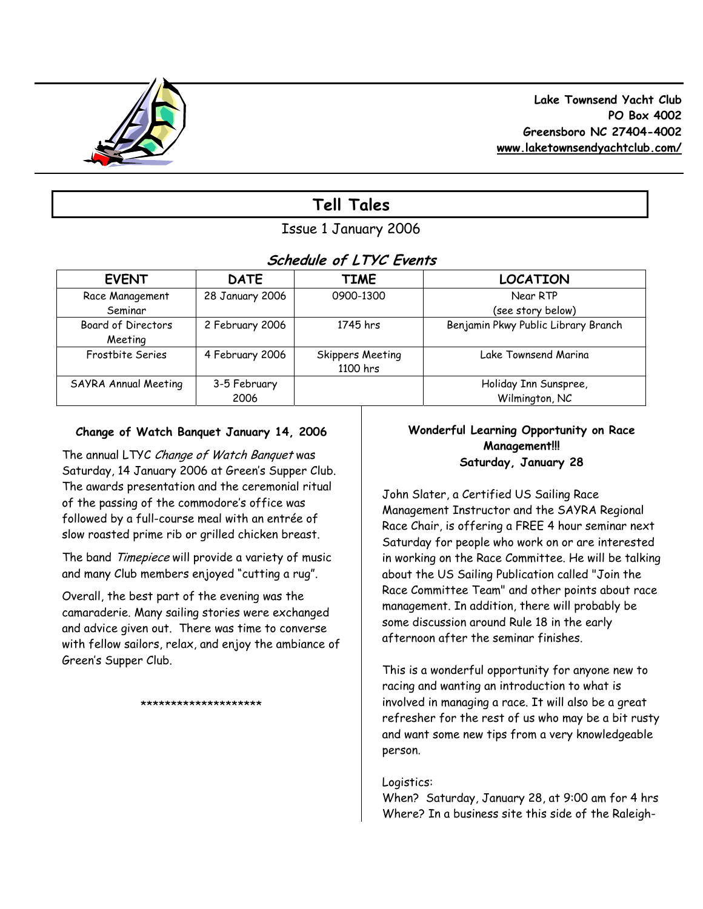

# **Tell Tales**

# Issue 1 January 2006

# **Schedule of LTYC Events**

| <b>EVENT</b>              | <b>DATE</b>     | <b>TIME</b>      | <b>LOCATION</b>                     |
|---------------------------|-----------------|------------------|-------------------------------------|
| Race Management           | 28 January 2006 | 0900-1300        | Near RTP                            |
| Seminar                   |                 |                  | (see story below)                   |
| <b>Board of Directors</b> | 2 February 2006 | 1745 hrs         | Benjamin Pkwy Public Library Branch |
| Meeting                   |                 |                  |                                     |
| Frostbite Series          | 4 February 2006 | Skippers Meeting | Lake Townsend Marina                |
|                           |                 | 1100 hrs         |                                     |
| SAYRA Annual Meeting      | 3-5 February    |                  | Holiday Inn Sunspree,               |
|                           | 2006            |                  | Wilmington, NC                      |

# **Change of Watch Banquet January 14, 2006**

The annual LTYC Change of Watch Banquet was Saturday, 14 January 2006 at Green's Supper Club. The awards presentation and the ceremonial ritual of the passing of the commodore's office was followed by a full-course meal with an entrée of slow roasted prime rib or grilled chicken breast.

The band Timepiece will provide a variety of music and many Club members enjoyed "cutting a rug".

Overall, the best part of the evening was the camaraderie. Many sailing stories were exchanged and advice given out. There was time to converse with fellow sailors, relax, and enjoy the ambiance of Green's Supper Club.

\*\*\*\*\*\*\*\*\*\*\*\*\*\*\*\*\*\*\*\*

# **Wonderful Learning Opportunity on Race Management!!! Saturday, January 28**

John Slater, a Certified US Sailing Race Management Instructor and the SAYRA Regional Race Chair, is offering a FREE 4 hour seminar next Saturday for people who work on or are interested in working on the Race Committee. He will be talking about the US Sailing Publication called "Join the Race Committee Team" and other points about race management. In addition, there will probably be some discussion around Rule 18 in the early afternoon after the seminar finishes.

This is a wonderful opportunity for anyone new to racing and wanting an introduction to what is involved in managing a race. It will also be a great refresher for the rest of us who may be a bit rusty and want some new tips from a very knowledgeable person.

# Logistics:

When? Saturday, January 28, at 9:00 am for 4 hrs Where? In a business site this side of the Raleigh-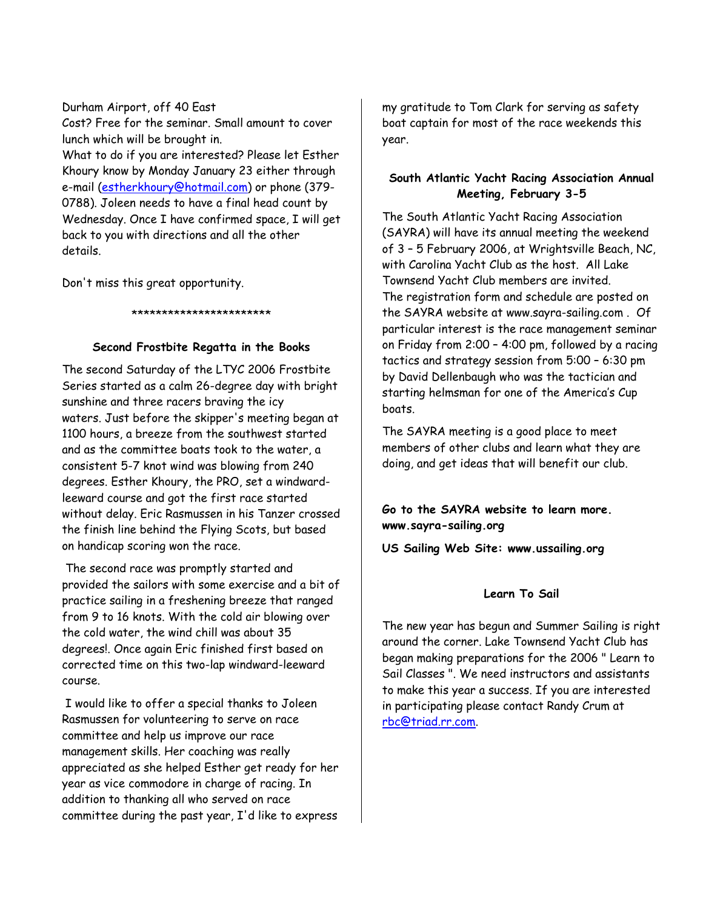Durham Airport, off 40 East Cost? Free for the seminar. Small amount to cover lunch which will be brought in. What to do if you are interested? Please let Esther Khoury know by Monday January 23 either through e-mail (estherkhoury@hotmail.com) or phone (379- 0788). Joleen needs to have a final head count by Wednesday. Once I have confirmed space, I will get back to you with directions and all the other details.

Don't miss this great opportunity.

# \*\*\*\*\*\*\*\*\*\*\*\*\*\*\*\*\*\*\*\*\*\*\*

#### **Second Frostbite Regatta in the Books**

The second Saturday of the LTYC 2006 Frostbite Series started as a calm 26-degree day with bright sunshine and three racers braving the icy waters. Just before the skipper's meeting began at 1100 hours, a breeze from the southwest started and as the committee boats took to the water, a consistent 5-7 knot wind was blowing from 240 degrees. Esther Khoury, the PRO, set a windwardleeward course and got the first race started without delay. Eric Rasmussen in his Tanzer crossed the finish line behind the Flying Scots, but based on handicap scoring won the race.

 The second race was promptly started and provided the sailors with some exercise and a bit of practice sailing in a freshening breeze that ranged from 9 to 16 knots. With the cold air blowing over the cold water, the wind chill was about 35 degrees!. Once again Eric finished first based on corrected time on this two-lap windward-leeward course.

 I would like to offer a special thanks to Joleen Rasmussen for volunteering to serve on race committee and help us improve our race management skills. Her coaching was really appreciated as she helped Esther get ready for her year as vice commodore in charge of racing. In addition to thanking all who served on race committee during the past year, I'd like to express my gratitude to Tom Clark for serving as safety boat captain for most of the race weekends this year.

# **South Atlantic Yacht Racing Association Annual Meeting, February 3-5**

The South Atlantic Yacht Racing Association (SAYRA) will have its annual meeting the weekend of 3 – 5 February 2006, at Wrightsville Beach, NC, with Carolina Yacht Club as the host. All Lake Townsend Yacht Club members are invited. The registration form and schedule are posted on the SAYRA website at www.sayra-sailing.com . Of particular interest is the race management seminar on Friday from 2:00 – 4:00 pm, followed by a racing tactics and strategy session from 5:00 – 6:30 pm by David Dellenbaugh who was the tactician and starting helmsman for one of the America's Cup boats.

The SAYRA meeting is a good place to meet members of other clubs and learn what they are doing, and get ideas that will benefit our club.

# **Go to the SAYRA website to learn more. www.sayra-sailing.org**

**US Sailing Web Site: www.ussailing.org** 

#### **Learn To Sail**

The new year has begun and Summer Sailing is right around the corner. Lake Townsend Yacht Club has began making preparations for the 2006 " Learn to Sail Classes ". We need instructors and assistants to make this year a success. If you are interested in participating please contact Randy Crum at rbc@triad.rr.com.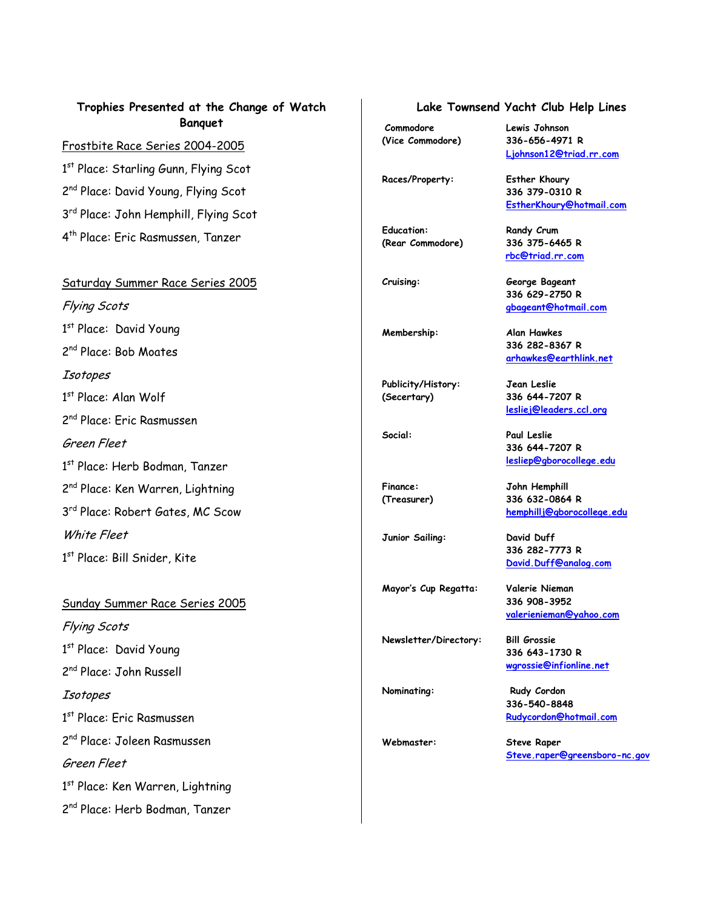## **Trophies Presented at the Change of Watch Banquet**

#### Frostbite Race Series 2004-2005

1<sup>st</sup> Place: Starling Gunn, Flying Scot 2<sup>nd</sup> Place: David Young, Flying Scot 3<sup>rd</sup> Place: John Hemphill, Flying Scot 4th Place: Eric Rasmussen, Tanzer

#### Saturday Summer Race Series 2005

Flying Scots 1st Place: David Young 2nd Place: Bob Moates Isotopes 1 st Place: Alan Wolf 2nd Place: Eric Rasmussen Green Fleet 1 st Place: Herb Bodman, Tanzer 2<sup>nd</sup> Place: Ken Warren, Lightning 3<sup>rd</sup> Place: Robert Gates, MC Scow White Fleet 1<sup>st</sup> Place: Bill Snider, Kite

Sunday Summer Race Series 2005 Flying Scots 1st Place: David Young 2nd Place: John Russell **Isotopes** 1<sup>st</sup> Place: Eric Rasmussen 2nd Place: Joleen Rasmussen Green Fleet 1<sup>st</sup> Place: Ken Warren, Lightning 2<sup>nd</sup> Place: Herb Bodman, Tanzer

### **Lake Townsend Yacht Club Help Lines**

 **Ljohnson12@triad.rr.com**

 **EstherKhoury@hotmail.com**

 **336 379-0310 R** 

 **rbc@triad.rr.com**

**336 629-2750 R gbageant@hotmail.com**

 **336 282-8367 R arhawkes@earthlink.net**

**lesliej@leaders.ccl.org** 

**hemphillj@gborocollege.edu**

**336 644-7207 R lesliep@gborocollege.edu** 

**336 282-7773 R David.Duff@analog.com** 

 **336 908-3952** 

**336 643-1730 R wgrossie@infionline.net** 

**Commodore Lewis Johnson (Vice Commodore) 336-656-4971 R** 

**Races/Property: Esther Khoury** 

**Education: Randy Crum (Rear Commodore) 336 375-6465 R** 

**Cruising: George Bageant** 

**Membership: Alan Hawkes** 

**Publicity/History: Jean Leslie (Secertary) 336 644-7207 R** 

**Social: Paul Leslie** 

**Finance: John Hemphill (Treasurer) 336 632-0864 R** 

**Junior Sailing: David Duff** 

**Mayor's Cup Regatta: Valerie Nieman** 

**Newsletter/Directory: Bill Grossie** 

**Nominating:** Rudy Cordon **336-540-8848 Rudycordon@hotmail.com**

 **valerienieman@yahoo.com**

**Webmaster: Steve Raper Steve.raper@greensboro-nc.gov**